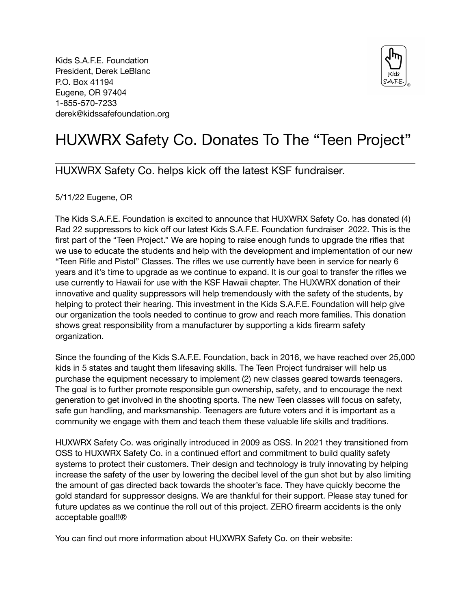Kids S.A.F.E. Foundation President, Derek LeBlanc P.O. Box 41194 Eugene, OR 97404 1-855-570-7233 derek@kidssafefoundation.org



## HUXWRX Safety Co. Donates To The "Teen Project"

## HUXWRX Safety Co. helps kick off the latest KSF fundraiser.

5/11/22 Eugene, OR

The Kids S.A.F.E. Foundation is excited to announce that HUXWRX Safety Co. has donated (4) Rad 22 suppressors to kick off our latest Kids S.A.F.E. Foundation fundraiser 2022. This is the first part of the "Teen Project." We are hoping to raise enough funds to upgrade the rifles that we use to educate the students and help with the development and implementation of our new "Teen Rifle and Pistol" Classes. The rifles we use currently have been in service for nearly 6 years and it's time to upgrade as we continue to expand. It is our goal to transfer the rifles we use currently to Hawaii for use with the KSF Hawaii chapter. The HUXWRX donation of their innovative and quality suppressors will help tremendously with the safety of the students, by helping to protect their hearing. This investment in the Kids S.A.F.E. Foundation will help give our organization the tools needed to continue to grow and reach more families. This donation shows great responsibility from a manufacturer by supporting a kids firearm safety organization.

Since the founding of the Kids S.A.F.E. Foundation, back in 2016, we have reached over 25,000 kids in 5 states and taught them lifesaving skills. The Teen Project fundraiser will help us purchase the equipment necessary to implement (2) new classes geared towards teenagers. The goal is to further promote responsible gun ownership, safety, and to encourage the next generation to get involved in the shooting sports. The new Teen classes will focus on safety, safe gun handling, and marksmanship. Teenagers are future voters and it is important as a community we engage with them and teach them these valuable life skills and traditions.

HUXWRX Safety Co. was originally introduced in 2009 as OSS. In 2021 they transitioned from OSS to HUXWRX Safety Co. in a continued effort and commitment to build quality safety systems to protect their customers. Their design and technology is truly innovating by helping increase the safety of the user by lowering the decibel level of the gun shot but by also limiting the amount of gas directed back towards the shooter's face. They have quickly become the gold standard for suppressor designs. We are thankful for their support. Please stay tuned for future updates as we continue the roll out of this project. ZERO firearm accidents is the only acceptable goal!!®

You can find out more information about HUXWRX Safety Co. on their website: